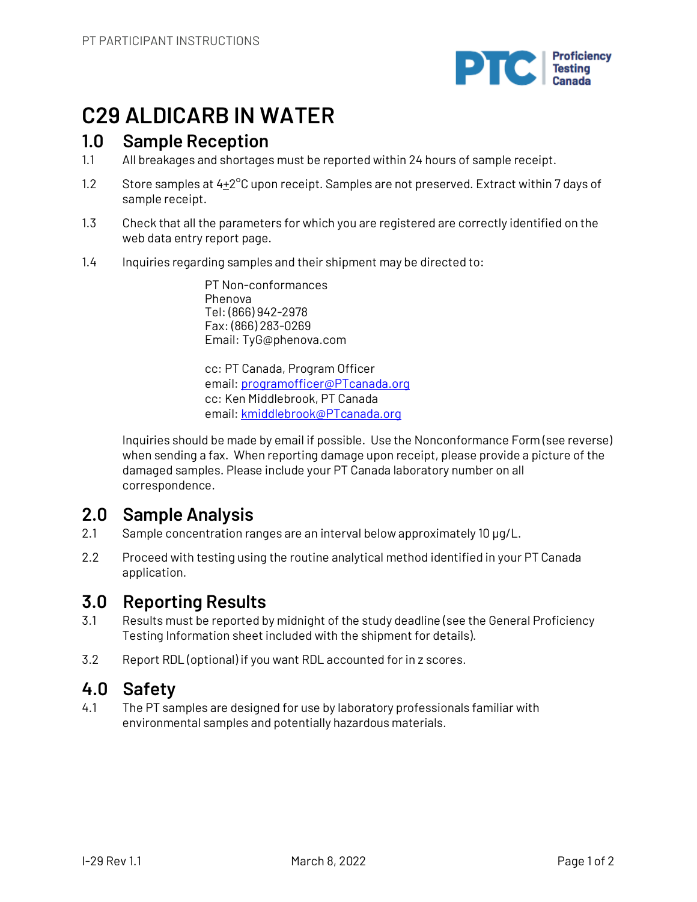

# **C29 ALDICARB IN WATER**

# **1.0 Sample Reception**

- 1.1 All breakages and shortages must be reported within 24 hours of sample receipt.
- 1.2 Store samples at  $4+2^{\circ}$ C upon receipt. Samples are not preserved. Extract within 7 days of sample receipt.
- 1.3 Check that all the parameters for which you are registered are correctly identified on the web data entry report page.
- 1.4 Inquiries regarding samples and their shipment may be directed to:

PT Non-conformances Phenova Tel: (866) 942-2978 Fax: (866) 283-0269 Email: TyG@phenova.com

cc: PT Canada, Program Officer email: programofficer@PTcanada.org cc: Ken Middlebrook, PT Canada email: kmiddlebrook@PTcanada.org

Inquiries should be made by email if possible. Use the Nonconformance Form (see reverse) when sending a fax. When reporting damage upon receipt, please provide a picture of the damaged samples. Please include your PT Canada laboratory number on all correspondence.

# **2.0 Sample Analysis**

- 2.1 Sample concentration ranges are an interval below approximately 10 µg/L.
- 2.2 Proceed with testing using the routine analytical method identified in your PT Canada application.

## **3.0 Reporting Results**

- 3.1 Results must be reported by midnight of the study deadline (see the General Proficiency Testing Information sheet included with the shipment for details).
- 3.2 Report RDL (optional) if you want RDL accounted for in z scores.

## **4.0 Safety**

4.1 The PT samples are designed for use by laboratory professionals familiar with environmental samples and potentially hazardous materials.